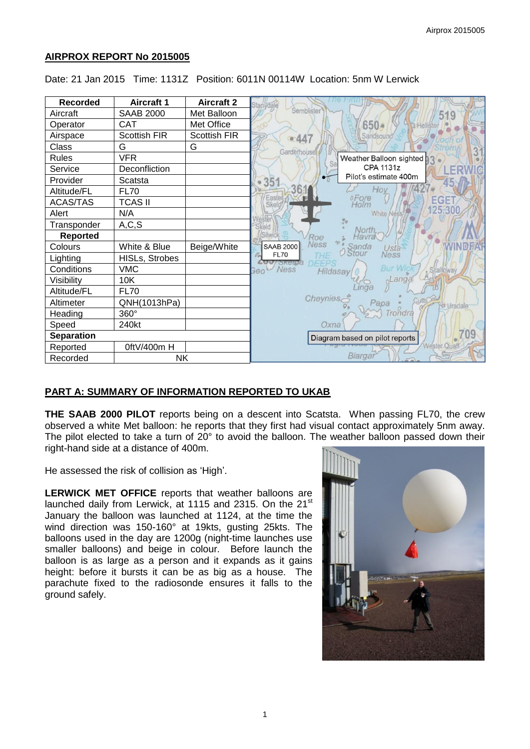# **AIRPROX REPORT No 2015005**

| <b>Recorded</b>   | <b>Aircraft 1</b>     | <b>Aircraft 2</b>   | Semblister                                                     |
|-------------------|-----------------------|---------------------|----------------------------------------------------------------|
| Aircraft          | <b>SAAB 2000</b>      | Met Balloon         | 519                                                            |
| Operator          | CAT                   | Met Office          | $650 +$                                                        |
| Airspace          | <b>Scottish FIR</b>   | <b>Scottish FIR</b> | Sandsound <sup>®</sup><br>447<br>ø                             |
| Class             | G                     | G                   | Garderhouse                                                    |
| <b>Rules</b>      | <b>VFR</b>            |                     | Weather Balloon sighted<br>Sa                                  |
| Service           | Deconfliction         |                     | CPA 1131z                                                      |
| Provider          | Scatsta               |                     | Pilot's estimate 400m<br>35 <sup>2</sup>                       |
| Altitude/FL       | <b>FL70</b>           |                     |                                                                |
| <b>ACAS/TAS</b>   | <b>TCAS II</b>        |                     | Easte<br>oFore<br>Holm<br>EGE<br>Skel                          |
| Alert             | N/A                   |                     | 125.30<br><b>White Ness</b>                                    |
| Transponder       | A, C, S               |                     | Skeld<br>North                                                 |
| <b>Reported</b>   |                       |                     | Silwick<br>Havr<br>Roe                                         |
| Colours           | White & Blue          | Beige/White         | Ness<br><b>SAAB 2000</b><br>Sanda<br>Usta <sup>.</sup><br>Ness |
| Lighting          | <b>HISLs, Strobes</b> |                     | <b>FL70</b><br><b>Sketa</b><br>DEEPS                           |
| Conditions        | <b>VMC</b>            |                     | <b>Bur Wid</b><br>Ness<br>Scalfoway<br>Geo<br>Hildasay         |
| Visibility        | 10K                   |                     | Langa                                                          |
| Altitude/FL       | <b>FL70</b>           |                     |                                                                |
| Altimeter         | QNH(1013hPa)          |                     | Cheynies,<br>Papa<br>Uradale                                   |
| Heading           | 360°                  |                     | Trondra                                                        |
| Speed             | 240kt                 |                     | Oxna                                                           |
| <b>Separation</b> |                       |                     | Diagram based on pilot reports                                 |
| Reported          | 0ftV/400m H           |                     | Wester Quaft                                                   |
| Recorded          | <b>NK</b>             |                     | Biargar                                                        |

Date: 21 Jan 2015 Time: 1131Z Position: 6011N 00114W Location: 5nm W Lerwick

# **PART A: SUMMARY OF INFORMATION REPORTED TO UKAB**

**THE SAAB 2000 PILOT** reports being on a descent into Scatsta. When passing FL70, the crew observed a white Met balloon: he reports that they first had visual contact approximately 5nm away. The pilot elected to take a turn of 20° to avoid the balloon. The weather balloon passed down their right-hand side at a distance of 400m.

He assessed the risk of collision as 'High'.

**LERWICK MET OFFICE** reports that weather balloons are launched daily from Lerwick, at 1115 and 2315. On the 21<sup>st</sup> January the balloon was launched at 1124, at the time the wind direction was 150-160° at 19kts, gusting 25kts. The balloons used in the day are 1200g (night-time launches use smaller balloons) and beige in colour. Before launch the balloon is as large as a person and it expands as it gains height: before it bursts it can be as big as a house. The parachute fixed to the radiosonde ensures it falls to the ground safely.